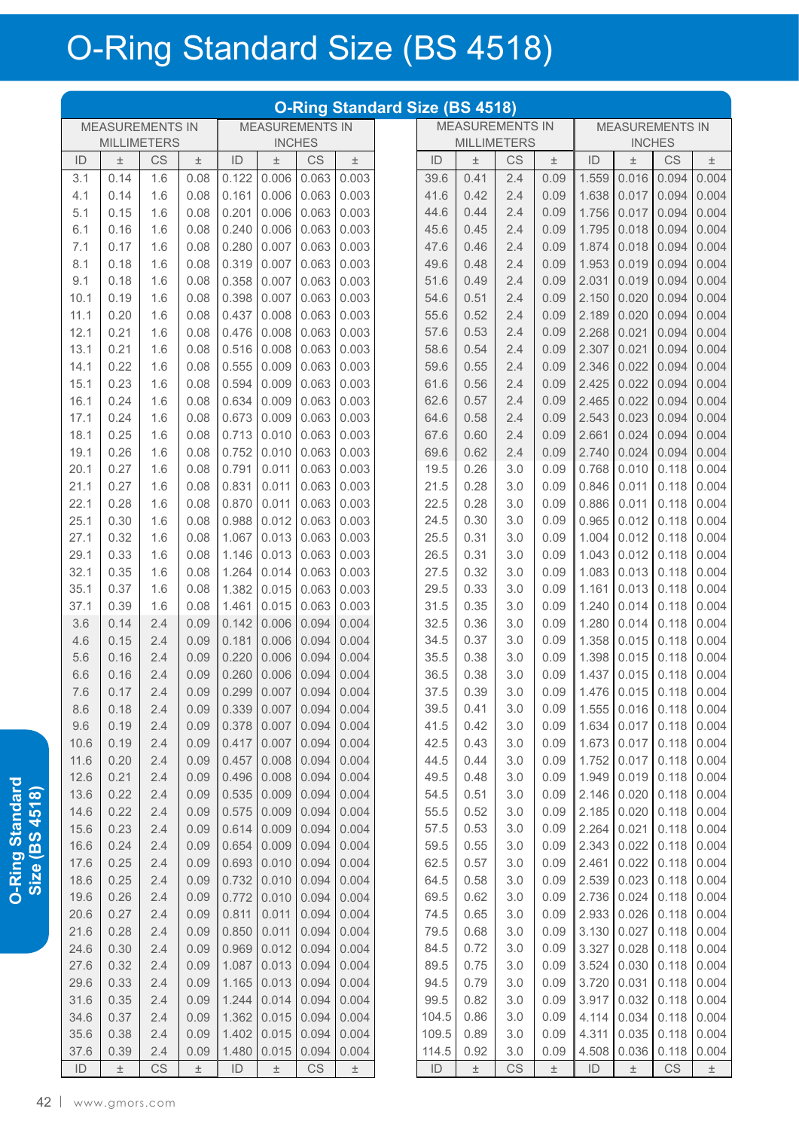## O-Ring Standard Size (BS 4518)

|               |                        |            |              |                |                        |                |                | <b>O-Ring Standard Size (BS 4518)</b> |               |              |                        |              |                |                |                        |                |
|---------------|------------------------|------------|--------------|----------------|------------------------|----------------|----------------|---------------------------------------|---------------|--------------|------------------------|--------------|----------------|----------------|------------------------|----------------|
|               | <b>MEASUREMENTS IN</b> |            |              |                | <b>MEASUREMENTS IN</b> |                |                |                                       |               |              | <b>MEASUREMENTS IN</b> |              |                |                | <b>MEASUREMENTS IN</b> |                |
|               | <b>MILLIMETERS</b>     |            |              |                |                        | <b>INCHES</b>  |                |                                       |               |              | <b>MILLIMETERS</b>     |              |                |                | <b>INCHES</b>          |                |
| ID            | 土                      | CS         | $\pm$        | ID             | $\pm$                  | CS             | 土              |                                       | ID            | $\pm$        | CS                     | $\pm$        | ID             | $\pm$          | CS                     | $\pm$          |
| 3.1           | 0.14                   | 1.6        | 0.08         | 0.122          | 0.006                  | 0.063          | 0.003          |                                       | 39.6          | 0.41         | 2.4                    | 0.09         | 1.559          | 0.016          | 0.094                  | 0.004          |
| 4.1           | 0.14                   | 1.6        | 0.08         | 0.161          | 0.006                  | 0.063          | 0.003          |                                       | 41.6          | 0.42         | 2.4                    | 0.09         | 1.638          | 0.017          | 0.094                  | 0.004          |
| 5.1           | 0.15                   | 1.6        | 0.08         | 0.201          | 0.006<br>0.006         | 0.063<br>0.063 | 0.003<br>0.003 |                                       | 44.6          | 0.44         | 2.4                    | 0.09<br>0.09 | 1.756          | 0.017          | 0.094<br>0.094         | 0.004<br>0.004 |
| 6.1<br>7.1    | 0.16<br>0.17           | 1.6<br>1.6 | 0.08<br>0.08 | 0.240<br>0.280 | 0.007                  | 0.063          | 0.003          |                                       | 45.6<br>47.6  | 0.45<br>0.46 | 2.4<br>2.4             | 0.09         | 1.795<br>1.874 | 0.018<br>0.018 | 0.094                  | 0.004          |
| 8.1           | 0.18                   | 1.6        | 0.08         | 0.319          | 0.007                  | 0.063          | 0.003          |                                       | 49.6          | 0.48         | 2.4                    | 0.09         | 1.953          | 0.019          | 0.094                  | 0.004          |
| 9.1           | 0.18                   | 1.6        | 0.08         | 0.358          | 0.007                  | 0.063          | 0.003          |                                       | 51.6          | 0.49         | 2.4                    | 0.09         | 2.031          | 0.019          | 0.094                  | 0.004          |
| 10.1          | 0.19                   | 1.6        | 0.08         | 0.398          | 0.007                  | 0.063          | 0.003          |                                       | 54.6          | 0.51         | 2.4                    | 0.09         | 2.150          | 0.020          | 0.094                  | 0.004          |
| 11.1          | 0.20                   | 1.6        | 0.08         | 0.437          | 0.008                  | 0.063          | 0.003          |                                       | 55.6          | 0.52         | 2.4                    | 0.09         | 2.189          | 0.020          | 0.094                  | 0.004          |
| 12.1          | 0.21                   | 1.6        | 0.08         | 0.476          | 0.008                  | 0.063          | 0.003          |                                       | 57.6          | 0.53         | 2.4                    | 0.09         | 2.268          | 0.021          | 0.094                  | 0.004          |
| 13.1          | 0.21                   | 1.6        | 0.08         | 0.516          | 0.008                  | 0.063          | 0.003          |                                       | 58.6          | 0.54         | 2.4                    | 0.09         | 2.307          | 0.021          | 0.094                  | 0.004          |
| 14.1          | 0.22                   | 1.6        | 0.08         | 0.555          | 0.009                  | 0.063          | 0.003          |                                       | 59.6          | 0.55         | 2.4                    | 0.09         | 2.346          | 0.022          | 0.094                  | 0.004          |
| 15.1          | 0.23                   | 1.6        | 0.08         | 0.594          | 0.009                  | 0.063          | 0.003          |                                       | 61.6          | 0.56         | 2.4                    | 0.09         | 2.425          | 0.022          | 0.094                  | 0.004          |
| 16.1          | 0.24                   | 1.6        | 0.08         | 0.634          | 0.009                  | 0.063          | 0.003          |                                       | 62.6          | 0.57         | 2.4                    | 0.09         | 2.465          | 0.022          | 0.094                  | 0.004          |
| 17.1          | 0.24                   | 1.6        | 0.08         | 0.673          | 0.009                  | 0.063          | 0.003          |                                       | 64.6          | 0.58         | 2.4                    | 0.09         | 2.543          | 0.023          | 0.094                  | 0.004          |
| 18.1          | 0.25                   | 1.6        | 0.08         | 0.713          | 0.010                  | 0.063          | 0.003          |                                       | 67.6          | 0.60         | 2.4                    | 0.09         | 2.661          | 0.024          | 0.094                  | 0.004          |
| 19.1          | 0.26                   | 1.6        | 0.08         | 0.752          | 0.010                  | 0.063          | 0.003          |                                       | 69.6          | 0.62         | 2.4                    | 0.09         | 2.740          | 0.024          | 0.094                  | 0.004          |
| 20.1          | 0.27                   | 1.6        | 0.08         | 0.791          | 0.011                  | 0.063          | 0.003          |                                       | 19.5          | 0.26         | 3.0                    | 0.09         | 0.768          | 0.010          | 0.118                  | 0.004          |
| 21.1          | 0.27                   | 1.6        | 0.08         | 0.831          | 0.011                  | 0.063          | 0.003          |                                       | 21.5          | 0.28         | 3.0                    | 0.09         | 0.846          | 0.011          | 0.118                  | 0.004          |
| 22.1          | 0.28                   | 1.6        | 0.08         | 0.870          | 0.011                  | 0.063          | 0.003          |                                       | 22.5          | 0.28         | 3.0                    | 0.09         | 0.886          | 0.011          | 0.118                  | 0.004          |
| 25.1          | 0.30                   | 1.6        | 0.08         | 0.988          | 0.012                  | 0.063          | 0.003          |                                       | 24.5          | 0.30         | 3.0                    | 0.09         | 0.965          | 0.012          | 0.118                  | 0.004          |
| 27.1          | 0.32                   | 1.6        | 0.08         | 1.067          | 0.013                  | 0.063          | 0.003          |                                       | 25.5          | 0.31         | 3.0                    | 0.09         | 1.004          | 0.012          | 0.118                  | 0.004          |
| 29.1          | 0.33                   | 1.6        | 0.08         | 1.146          | 0.013                  | 0.063          | 0.003          |                                       | 26.5          | 0.31         | 3.0                    | 0.09         | 1.043          | 0.012          | 0.118                  | 0.004          |
| 32.1          | 0.35                   | 1.6        | 0.08         | 1.264          | 0.014                  | 0.063          | 0.003          |                                       | 27.5          | 0.32         | 3.0                    | 0.09         | 1.083          | 0.013          | 0.118                  | 0.004          |
| 35.1<br>37.1  | 0.37<br>0.39           | 1.6<br>1.6 | 0.08<br>0.08 | 1.382<br>1.461 | 0.015<br>0.015         | 0.063<br>0.063 | 0.003<br>0.003 |                                       | 29.5<br>31.5  | 0.33<br>0.35 | 3.0<br>3.0             | 0.09<br>0.09 | 1.161<br>1.240 | 0.013<br>0.014 | 0.118<br>0.118         | 0.004<br>0.004 |
| 3.6           | 0.14                   | 2.4        | 0.09         | 0.142          | 0.006                  | 0.094          | 0.004          |                                       | 32.5          | 0.36         | 3.0                    | 0.09         | 1.280          | 0.014          | 0.118                  | 0.004          |
| 4.6           | 0.15                   | 2.4        | 0.09         | 0.181          | 0.006                  | 0.094          | 0.004          |                                       | 34.5          | 0.37         | 3.0                    | 0.09         | 1.358          | 0.015          | 0.118                  | 0.004          |
| 5.6           | 0.16                   | 2.4        | 0.09         | 0.220          | 0.006                  | 0.094          | 0.004          |                                       | 35.5          | 0.38         | 3.0                    | 0.09         | 1.398          | 0.015          | 0.118                  | 0.004          |
| 6.6           | 0.16                   | 2.4        | 0.09         | 0.260          | 0.006                  | 0.094          | 0.004          |                                       | 36.5          | 0.38         | 3.0                    | 0.09         | 1.437          | 0.015          | 0.118                  | 0.004          |
| 7.6           | 0.17                   | 2.4        | 0.09         | 0.299          | 0.007                  | 0.094          | 0.004          |                                       | 37.5          | 0.39         | 3.0                    | 0.09         | 1.476          | 0.015          | 0.118                  | 0.004          |
| 8.6           | 0.18                   | 2.4        | 0.09         | 0.339          | 0.007                  | 0.094          | 0.004          |                                       | 39.5          | 0.41         | 3.0                    | 0.09         | 1.555          | 0.016          | 0.118                  | 0.004          |
| 9.6           | 0.19                   | 2.4        | 0.09         | 0.378          | 0.007                  | 0.094          | 0.004          |                                       | 41.5          | 0.42         | 3.0                    | 0.09         | 1.634          | 0.017          | 0.118                  | 0.004          |
| 10.6          | 0.19                   | 2.4        | 0.09         | 0.417          | 0.007                  | 0.094          | 0.004          |                                       | 42.5          | 0.43         | 3.0                    | 0.09         | 1.673          | 0.017          | 0.118                  | 0.004          |
| 11.6          | 0.20                   | 2.4        | 0.09         | 0.457          | 0.008                  | 0.094          | 0.004          |                                       | 44.5          | 0.44         | 3.0                    | 0.09         | 1.752          | 0.017          | 0.118                  | 0.004          |
| 12.6          | 0.21                   | 2.4        | 0.09         | 0.496          | 0.008                  | 0.094          | 0.004          |                                       | 49.5          | 0.48         | 3.0                    | 0.09         | 1.949          | 0.019          | 0.118                  | 0.004          |
| 13.6          | 0.22                   | 2.4        | 0.09         | 0.535          | 0.009                  | 0.094          | 0.004          |                                       | 54.5          | 0.51         | 3.0                    | 0.09         | 2.146          | 0.020          | 0.118                  | 0.004          |
| 14.6          | 0.22                   | 2.4        | 0.09         | 0.575          | 0.009                  | 0.094          | 0.004          |                                       | 55.5          | 0.52         | 3.0                    | 0.09         | 2.185          | 0.020          | 0.118                  | 0.004          |
| 15.6          | 0.23                   | 2.4        | 0.09         | 0.614          | 0.009                  | 0.094          | 0.004          |                                       | 57.5          | 0.53         | 3.0                    | 0.09         | 2.264          | 0.021          | 0.118                  | 0.004          |
| 16.6          | 0.24                   | 2.4        | 0.09         | 0.654          | 0.009                  | 0.094          | 0.004          |                                       | 59.5          | 0.55         | 3.0                    | 0.09         | 2.343          | 0.022          | 0.118                  | 0.004          |
| 17.6          | 0.25<br>0.25           | 2.4        | 0.09         | 0.693          | 0.010                  | 0.094          | 0.004          |                                       | 62.5          | 0.57         | 3.0                    | 0.09         | 2.461          | 0.022          | 0.118                  | 0.004          |
| 18.6<br>19.6  | 0.26                   | 2.4<br>2.4 | 0.09<br>0.09 | 0.732<br>0.772 | 0.010<br>0.010         | 0.094<br>0.094 | 0.004<br>0.004 |                                       | 64.5<br>69.5  | 0.58<br>0.62 | 3.0<br>3.0             | 0.09<br>0.09 | 2.539<br>2.736 | 0.023<br>0.024 | 0.118<br>0.118         | 0.004<br>0.004 |
| 20.6          | 0.27                   | 2.4        | 0.09         | 0.811          | 0.011                  | 0.094          | 0.004          |                                       | 74.5          |              | 3.0                    | 0.09         | 2.933          | 0.026          | 0.118                  | 0.004          |
| 21.6          | 0.28                   | 2.4        | 0.09         | 0.850          | 0.011                  | 0.094          | 0.004          |                                       | 79.5          | 0.65<br>0.68 | 3.0                    | 0.09         | 3.130          | 0.027          | 0.118                  | 0.004          |
| 24.6          | 0.30                   | 2.4        | 0.09         | 0.969          | 0.012                  | 0.094          | 0.004          |                                       | 84.5          | 0.72         | 3.0                    | 0.09         | 3.327          | 0.028          | 0.118                  | 0.004          |
| 27.6          | 0.32                   | 2.4        | 0.09         | 1.087          | 0.013                  | 0.094          | 0.004          |                                       | 89.5          | 0.75         | 3.0                    | 0.09         | 3.524          | 0.030          | 0.118                  | 0.004          |
| 29.6          | 0.33                   | 2.4        | 0.09         | 1.165          | 0.013                  | 0.094          | 0.004          |                                       | 94.5          | 0.79         | 3.0                    | 0.09         | 3.720          | 0.031          | 0.118                  | 0.004          |
| 31.6          | 0.35                   | 2.4        | 0.09         | 1.244          | 0.014                  | 0.094          | 0.004          |                                       | 99.5          | 0.82         | 3.0                    | 0.09         | 3.917          | 0.032          | 0.118                  | 0.004          |
| 34.6          | 0.37                   | 2.4        | 0.09         | 1.362          | 0.015                  | 0.094          | 0.004          |                                       | 104.5         | 0.86         | 3.0                    | 0.09         | 4.114          | 0.034          | 0.118                  | 0.004          |
| 35.6          | 0.38                   | 2.4        | 0.09         | 1.402          | 0.015                  | 0.094          | 0.004          |                                       | 109.5         | 0.89         | 3.0                    | 0.09         | 4.311          | 0.035          | 0.118                  | 0.004          |
| 37.6          | 0.39                   | 2.4        | 0.09         | 1.480          | 0.015                  | 0.094          | 0.004          |                                       | 114.5         | 0.92         | 3.0                    | 0.09         | 4.508          | 0.036          | 0.118                  | 0.004          |
| $\mathsf{ID}$ | $\pm$                  | CS         | Ŧ            | ID             | Ŧ                      | CS             | $\pm$          |                                       | $\mathsf{ID}$ | $\pm$        | CS                     | $\pm$        | $\mathsf{ID}$  | $\pm$          | CS                     | $\pm$          |

O-Ring Standard<br>Size (BS 4518) **O-Ring Standard Size (BS 4518)**